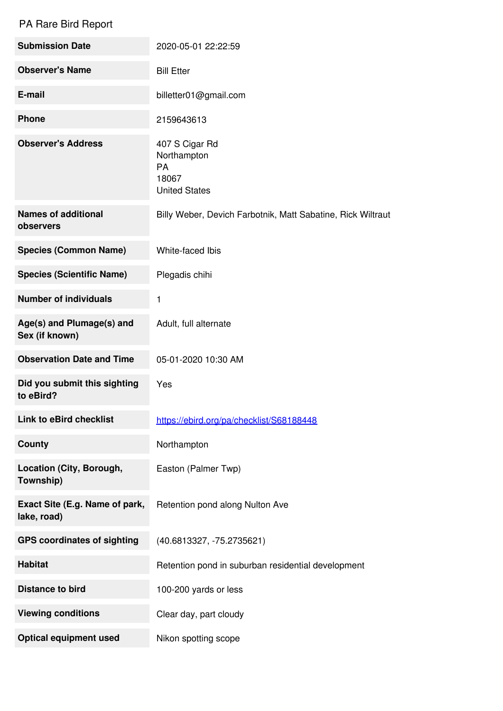## PA Rare Bird Report

| <b>Submission Date</b>                        | 2020-05-01 22:22:59                                                         |
|-----------------------------------------------|-----------------------------------------------------------------------------|
| <b>Observer's Name</b>                        | <b>Bill Etter</b>                                                           |
| E-mail                                        | billetter01@gmail.com                                                       |
| <b>Phone</b>                                  | 2159643613                                                                  |
| <b>Observer's Address</b>                     | 407 S Cigar Rd<br>Northampton<br><b>PA</b><br>18067<br><b>United States</b> |
| <b>Names of additional</b><br>observers       | Billy Weber, Devich Farbotnik, Matt Sabatine, Rick Wiltraut                 |
| <b>Species (Common Name)</b>                  | White-faced Ibis                                                            |
| <b>Species (Scientific Name)</b>              | Plegadis chihi                                                              |
| <b>Number of individuals</b>                  | 1                                                                           |
| Age(s) and Plumage(s) and<br>Sex (if known)   | Adult, full alternate                                                       |
| <b>Observation Date and Time</b>              | 05-01-2020 10:30 AM                                                         |
| Did you submit this sighting<br>to eBird?     | Yes                                                                         |
| <b>Link to eBird checklist</b>                | https://ebird.org/pa/checklist/S68188448                                    |
| <b>County</b>                                 | Northampton                                                                 |
| Location (City, Borough,<br>Township)         | Easton (Palmer Twp)                                                         |
| Exact Site (E.g. Name of park,<br>lake, road) | Retention pond along Nulton Ave                                             |
| <b>GPS coordinates of sighting</b>            | (40.6813327, -75.2735621)                                                   |
| <b>Habitat</b>                                | Retention pond in suburban residential development                          |
| <b>Distance to bird</b>                       | 100-200 yards or less                                                       |
| <b>Viewing conditions</b>                     | Clear day, part cloudy                                                      |
| <b>Optical equipment used</b>                 | Nikon spotting scope                                                        |